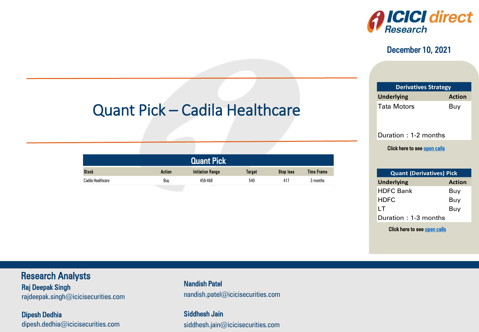

#### December 10, 2021

| <b>Derivatives Strategy</b> |               |  |  |  |
|-----------------------------|---------------|--|--|--|
| <b>Underlying</b>           | <b>Action</b> |  |  |  |
| <b>Tata Motors</b>          | Buy           |  |  |  |

Duration : 1-2 months

Click here to see <u>open calls</u>

| <b>Quant (Derivatives) Pick</b> |               |  |  |  |
|---------------------------------|---------------|--|--|--|
| <b>Underlying</b>               | <b>Action</b> |  |  |  |
| <b>HDFC Bank</b>                | Buy           |  |  |  |
| <b>HDFC</b>                     | Buy           |  |  |  |
| ΙT                              | Buy           |  |  |  |
| Duration: 1-3 months            |               |  |  |  |

ICICI Securities

– Retail Equity Research

Click here to see <u>open calls</u><br>————————————————————

# Quant Pick – Cadila Healthcare

|  | ACTION | ndliye | arget | stop loss | rrame<br> |  |  |
|--|--------|--------|-------|-----------|-----------|--|--|
|  | Buv    |        | 540   | .         |           |  |  |

## Research Analysts

Raj Deepak Singh **Raj Doopak Singhawa** rajdeepak.omgn@icicioocdniico.com rajdeepak.singh $@$ icicisecurities.com

Dipesh Dedhia dipesh.dedhia@icicisecurities.com nandish.patel@icicisecurities.com Nandish Patel

> Siddhesh Jain siddhesh.jain@icicisecurities.com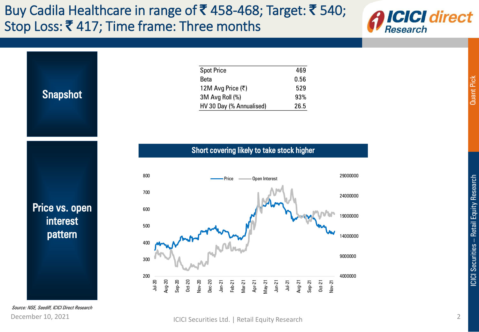## Buy Cadila Healthcare in range of  $\bar{\mathbf{z}}$  458-468; Target:  $\bar{\mathbf{z}}$  540; Stop Loss: ₹417; Time frame: Three months



| <b>Snapshot</b>            | <b>Spot Price</b><br>469<br>0.56<br><b>Beta</b><br>529<br>12M Avg Price (₹)<br>3M Avg Roll (%)<br>93%<br>26.5<br>HV 30 Day (% Annualised)                                                              |
|----------------------------|--------------------------------------------------------------------------------------------------------------------------------------------------------------------------------------------------------|
|                            | Short covering likely to take stock higher                                                                                                                                                             |
|                            | 800<br>29000000<br>- Price<br>Open Interest                                                                                                                                                            |
|                            | 700<br>24000000                                                                                                                                                                                        |
| Price vs. open<br>interest | 600<br>19000000                                                                                                                                                                                        |
| pattern                    | 500<br>14000000                                                                                                                                                                                        |
|                            | 400<br>9000000                                                                                                                                                                                         |
|                            | 300<br>200<br>4000000                                                                                                                                                                                  |
|                            | Aug-20<br>$Jul-20$<br>$0$ ct- $20$<br>$Dec-20$<br>$Sep-20$<br>Nov-20<br>$Jan-21$<br>$J$ un- $21$<br>Feb-21<br>Apr-21<br>$May-21$<br>$0ct-21$<br>$Nov-21$<br>$Mar-21$<br>$Jul-21$<br>Aug-21<br>$Sep-21$ |

Source: NSE, Seediff, ICICI Direct Research

#### <span id="page-1-0"></span>December 10, 2021 **ICICI Securities Ltd.** | Retail Equity Research 2

Quant Pick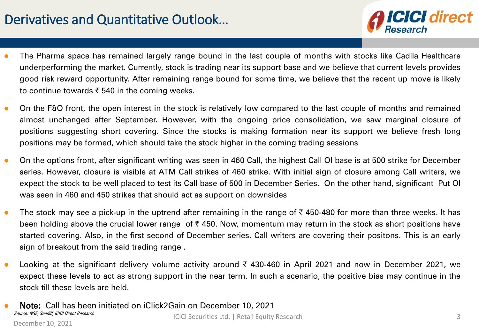# Derivatives and Quantitative Outlook…

- **ICICI direct**
- The Pharma space has remained largely range bound in the last couple of months with stocks like Cadila Healthcare underperforming the market. Currently, stock is trading near its support base and we believe that current levels provides good risk reward opportunity. After remaining range bound for some time, we believe that the recent up move is likely to continue towards  $\bar{\tau}$  540 in the coming weeks.
- On the F&O front, the open interest in the stock is relatively low compared to the last couple of months and remained almost unchanged after September. However, with the ongoing price consolidation, we saw marginal closure of positions suggesting short covering. Since the stocks is making formation near its support we believe fresh long positions may be formed, which should take the stock higher in the coming trading sessions
- On the options front, after significant writing was seen in 460 Call, the highest Call OI base is at 500 strike for December series. However, closure is visible at ATM Call strikes of 460 strike. With initial sign of closure among Call writers, we expect the stock to be well placed to test its Call base of 500 in December Series. On the other hand, significant Put OI was seen in 460 and 450 strikes that should act as support on downsides
- The stock may see a pick-up in the uptrend after remaining in the range of  $\bar{\tau}$  450-480 for more than three weeks. It has been holding above the crucial lower range of  $\bar{\tau}$  450. Now, momentum may return in the stock as short positions have started covering. Also, in the first second of December series, Call writers are covering their positons. This is an early sign of breakout from the said trading range .
- **•** Looking at the significant delivery volume activity around  $\bar{\tau}$  430-460 in April 2021 and now in December 2021, we expect these levels to act as strong support in the near term. In such a scenario, the positive bias may continue in the stock till these levels are held.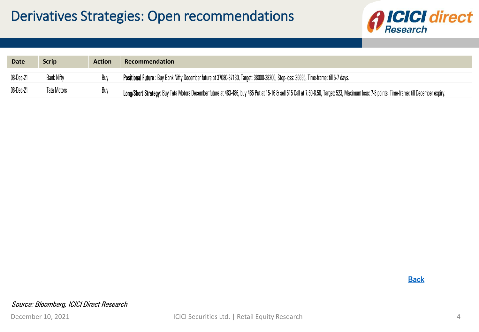

| <b>Date</b> | <b>Scrip</b> | <b>Action</b> | Recommendation                                                                                                                                                                               |
|-------------|--------------|---------------|----------------------------------------------------------------------------------------------------------------------------------------------------------------------------------------------|
| 08-Dec-21   | Bank Nifty   | Buv           | Positional Future : Buy Bank Nifty December future at 37080-37130, Target: 38000-38200, Stop-loss: 36695, Time-frame: till 5-7 days.                                                         |
| 08-Dec-21   | Tata Motors  | <b>Buy</b>    | Long/Short Strategy: Buy Tata Motors December future at 483-486, buy 485 Put at 15-16 & sell 515 Call at 7.50-8.50, Target: 523, Maximum loss: 7-8 points, Time-frame: till December expiry. |

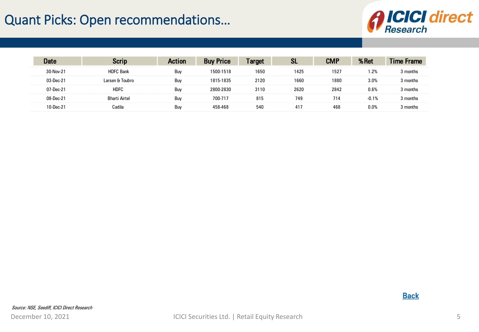# Quant Picks: Open recommendations…



<span id="page-4-0"></span>

|              |                       |     | rice      |      |      | :MP  |        |          |
|--------------|-----------------------|-----|-----------|------|------|------|--------|----------|
| 30-Nov-2     | .<br><b>HDFC Bank</b> | Buy | 1500-1518 | 1650 | 1425 | 1527 | $.2\%$ | months   |
| $03$ -Dec-21 | Larsen & Toubro       | Buy | 1815-1835 | 2120 | 1660 | 1880 | 3.0%   | l months |
| 07-Dec-21    | <b>HDFC</b>           | Buy | 2800-2830 | 3110 | 2620 | 2842 | 0.6%   | months   |
| 08-Dec-21    | Airtel                | Buy | 700-717   | 815  | 749  | 714  |        | months   |
| 7-nec        | Cadila                | Buy | 8-468     | 540  | 41   | 468  | 0.0%   |          |

**[Back](#page-1-0)**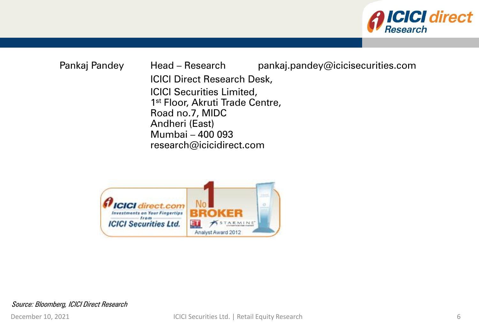

### Pankaj Pandey Head – Research pankaj.pandey@icicisecurities.com ICICI Direct Research Desk, ICICI Securities Limited, 1<sup>st</sup> Floor, Akruti Trade Centre, Road no.7, MIDC Andheri (East) Mumbai – 400 093 research@icicidirect.com



Source: Bloomberg, ICICI Direct Research